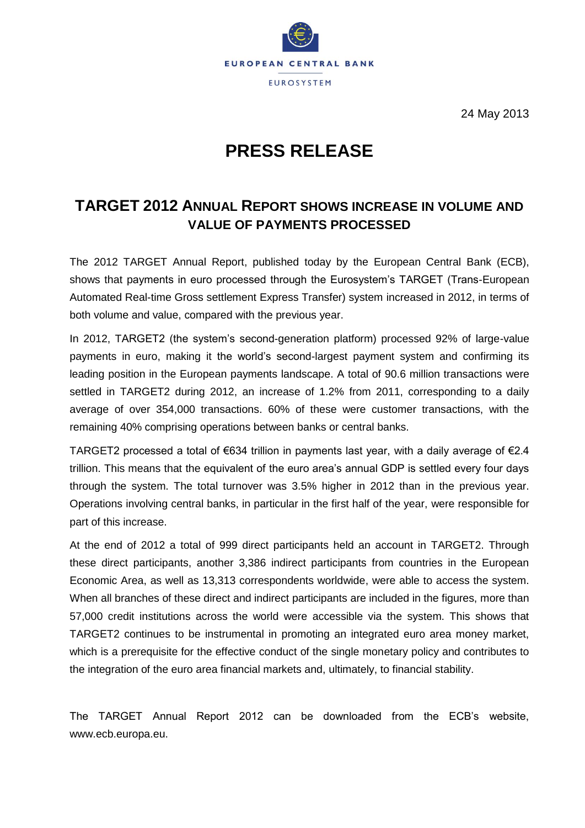

24 May 2013

## **PRESS RELEASE**

## **TARGET 2012 ANNUAL REPORT SHOWS INCREASE IN VOLUME AND VALUE OF PAYMENTS PROCESSED**

The 2012 TARGET Annual Report, published today by the European Central Bank (ECB), shows that payments in euro processed through the Eurosystem's TARGET (Trans-European Automated Real-time Gross settlement Express Transfer) system increased in 2012, in terms of both volume and value, compared with the previous year.

In 2012, TARGET2 (the system's second-generation platform) processed 92% of large-value payments in euro, making it the world's second-largest payment system and confirming its leading position in the European payments landscape. A total of 90.6 million transactions were settled in TARGET2 during 2012, an increase of 1.2% from 2011, corresponding to a daily average of over 354,000 transactions. 60% of these were customer transactions, with the remaining 40% comprising operations between banks or central banks.

TARGET2 processed a total of €634 trillion in payments last year, with a daily average of €2.4 trillion. This means that the equivalent of the euro area's annual GDP is settled every four days through the system. The total turnover was 3.5% higher in 2012 than in the previous year. Operations involving central banks, in particular in the first half of the year, were responsible for part of this increase.

At the end of 2012 a total of 999 direct participants held an account in TARGET2. Through these direct participants, another 3,386 indirect participants from countries in the European Economic Area, as well as 13,313 correspondents worldwide, were able to access the system. When all branches of these direct and indirect participants are included in the figures, more than 57,000 credit institutions across the world were accessible via the system. This shows that TARGET2 continues to be instrumental in promoting an integrated euro area money market, which is a prerequisite for the effective conduct of the single monetary policy and contributes to the integration of the euro area financial markets and, ultimately, to financial stability.

The TARGET Annual Report 2012 can be downloaded from the ECB's website, [www.ecb.europa.eu.](http://www.ecb.europa.eu/)